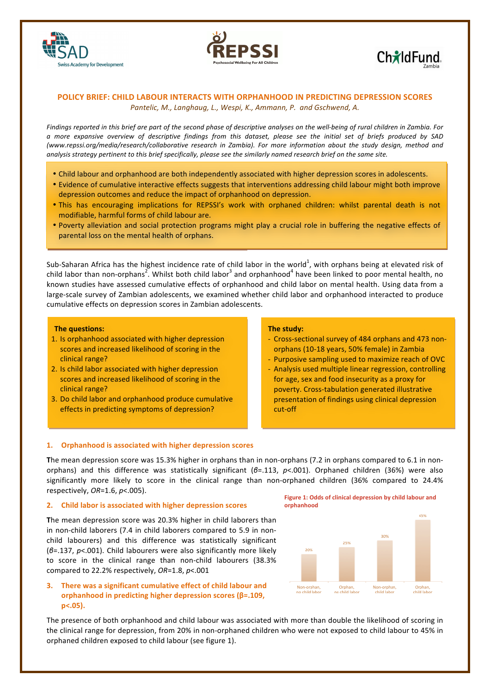





# **POLICY BRIEF: CHILD LABOUR INTERACTS WITH ORPHANHOOD IN PREDICTING DEPRESSION SCORES** Pantelic, M., Langhaug, L., Wespi, K., Ammann, P. and Gschwend, A.

Findings reported in this brief are part of the second phase of descriptive analyses on the well-being of rural children in Zambia. For *a more expansive overview of descriptive findings from this dataset, please see the initial set of briefs produced by SAD (www.repssi.org/media/research/collaborative research in Zambia).* For more information about the study design, method and analysis strategy pertinent to this brief specifically, please see the similarly named research brief on the same site.

- Child labour and orphanhood are both independently associated with higher depression scores in adolescents.
- Evidence of cumulative interactive effects suggests that interventions addressing child labour might both improve depression outcomes and reduce the impact of orphanhood on depression.
- This has encouraging implications for REPSSI's work with orphaned children: whilst parental death is not modifiable, harmful forms of child labour are.
- Poverty alleviation and social protection programs might play a crucial role in buffering the negative effects of parental loss on the mental health of orphans.

Sub-Saharan Africa has the highest incidence rate of child labor in the world<sup>1</sup>, with orphans being at elevated risk of child labor than non-orphans<sup>2</sup>. Whilst both child labor<sup>3</sup> and orphanhood<sup>4</sup> have been linked to poor mental health, no known studies have assessed cumulative effects of orphanhood and child labor on mental health. Using data from a large-scale survey of Zambian adolescents, we examined whether child labor and orphanhood interacted to produce cumulative effects on depression scores in Zambian adolescents.

### **The questions:**

- 1. Is orphanhood associated with higher depression scores and increased likelihood of scoring in the clinical range?
- 2. Is child labor associated with higher depression scores and increased likelihood of scoring in the clinical range?
- 3. Do child labor and orphanhood produce cumulative effects in predicting symptoms of depression?

### **The study:**

- Cross-sectional survey of 484 orphans and 473 nonorphans (10-18 years, 50% female) in Zambia
- Purposive sampling used to maximize reach of OVC
- Analysis used multiple linear regression, controlling for age, sex and food insecurity as a proxy for poverty. Cross-tabulation generated illustrative presentation of findings using clinical depression cut-off

## 1. **Orphanhood is associated with higher depression scores**

The mean depression score was 15.3% higher in orphans than in non-orphans (7.2 in orphans compared to 6.1 in nonorphans) and this difference was statistically significant (*β*=.113, *p*<.001). Orphaned children (36%) were also significantly more likely to score in the clinical range than non-orphaned children (36% compared to 24.4% respectively, *OR*=1.6, *p*<.005).

#### **2. Child labor is associated with higher depression scores**

**The mean depression score was 20.3% higher in child laborers than** in non-child laborers (7.4 in child laborers compared to 5.9 in nonchild labourers) and this difference was statistically significant (β=.137, p<.001). Child labourers were also significantly more likely to score in the clinical range than non-child labourers (38.3% compared to 22.2% respectively, OR=1.8, p<.001



**3.** There was a significant cumulative effect of child labour and **orphanhood** in predicting higher depression scores (β=.109, **p<.05).**

The presence of both orphanhood and child labour was associated with more than double the likelihood of scoring in the clinical range for depression, from 20% in non-orphaned children who were not exposed to child labour to 45% in orphaned children exposed to child labour (see figure 1).